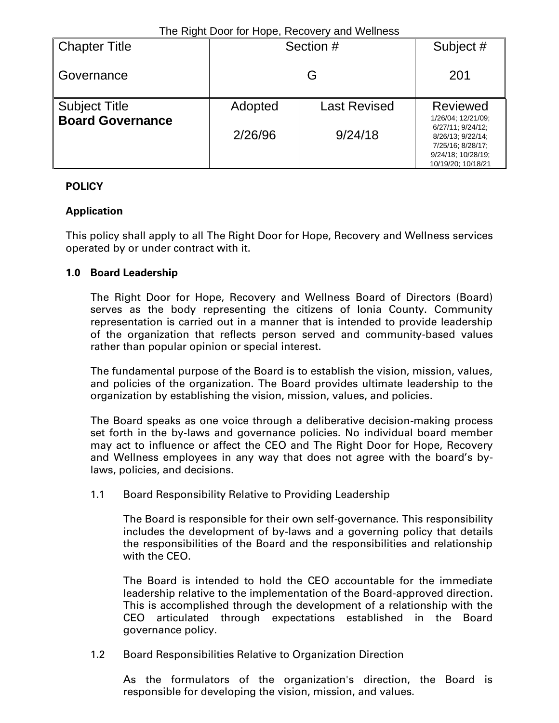| <b>Chapter Title</b>    | Section # |                     | Subject #                                                                                                                     |
|-------------------------|-----------|---------------------|-------------------------------------------------------------------------------------------------------------------------------|
| l Governance            |           | 201                 |                                                                                                                               |
| <b>Subject Title</b>    | Adopted   | <b>Last Revised</b> | <b>Reviewed</b>                                                                                                               |
| <b>Board Governance</b> | 2/26/96   | 9/24/18             | 1/26/04; 12/21/09;<br>6/27/11: 9/24/12:<br>8/26/13; 9/22/14;<br>7/25/16; 8/28/17;<br>9/24/18; 10/28/19;<br>10/19/20; 10/18/21 |

# **POLICY**

### **Application**

This policy shall apply to all The Right Door for Hope, Recovery and Wellness services operated by or under contract with it.

### **1.0 Board Leadership**

The Right Door for Hope, Recovery and Wellness Board of Directors (Board) serves as the body representing the citizens of Ionia County. Community representation is carried out in a manner that is intended to provide leadership of the organization that reflects person served and community-based values rather than popular opinion or special interest.

The fundamental purpose of the Board is to establish the vision, mission, values, and policies of the organization. The Board provides ultimate leadership to the organization by establishing the vision, mission, values, and policies.

The Board speaks as one voice through a deliberative decision-making process set forth in the by-laws and governance policies. No individual board member may act to influence or affect the CEO and The Right Door for Hope, Recovery and Wellness employees in any way that does not agree with the board's bylaws, policies, and decisions.

1.1 Board Responsibility Relative to Providing Leadership

The Board is responsible for their own self-governance. This responsibility includes the development of by-laws and a governing policy that details the responsibilities of the Board and the responsibilities and relationship with the CEO.

The Board is intended to hold the CEO accountable for the immediate leadership relative to the implementation of the Board-approved direction. This is accomplished through the development of a relationship with the CEO articulated through expectations established in the Board governance policy.

### 1.2 Board Responsibilities Relative to Organization Direction

As the formulators of the organization's direction, the Board is responsible for developing the vision, mission, and values.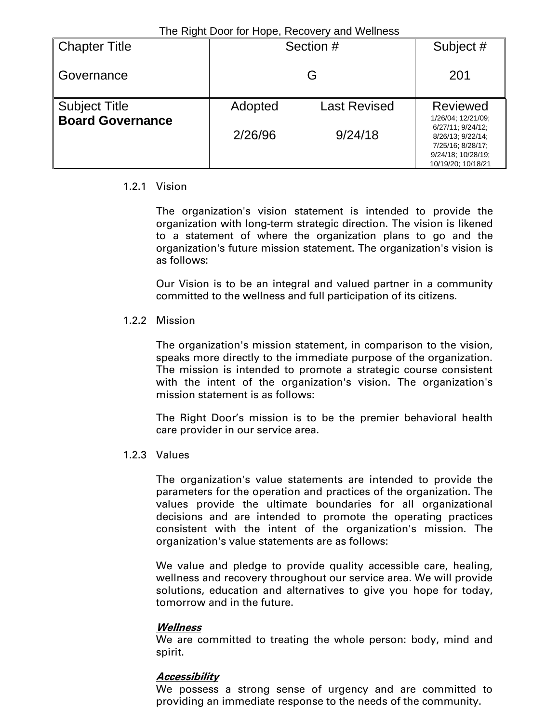| <b>Chapter Title</b>                            | Section # |                     | Subject #                                                                         |  |  |  |
|-------------------------------------------------|-----------|---------------------|-----------------------------------------------------------------------------------|--|--|--|
| I Governance                                    |           | 201                 |                                                                                   |  |  |  |
| <b>Subject Title</b><br><b>Board Governance</b> | Adopted   | <b>Last Revised</b> | <b>Reviewed</b><br>1/26/04; 12/21/09;                                             |  |  |  |
|                                                 | 2/26/96   | 9/24/18             | 6/27/11: 9/24/12:<br>8/26/13: 9/22/14:<br>7/25/16; 8/28/17;<br>9/24/18: 10/28/19: |  |  |  |
|                                                 |           |                     | 10/19/20: 10/18/21                                                                |  |  |  |

#### 1.2.1 Vision

The organization's vision statement is intended to provide the organization with long-term strategic direction. The vision is likened to a statement of where the organization plans to go and the organization's future mission statement. The organization's vision is as follows:

Our Vision is to be an integral and valued partner in a community committed to the wellness and full participation of its citizens.

#### 1.2.2 Mission

The organization's mission statement, in comparison to the vision, speaks more directly to the immediate purpose of the organization. The mission is intended to promote a strategic course consistent with the intent of the organization's vision. The organization's mission statement is as follows:

The Right Door's mission is to be the premier behavioral health care provider in our service area.

1.2.3 Values

The organization's value statements are intended to provide the parameters for the operation and practices of the organization. The values provide the ultimate boundaries for all organizational decisions and are intended to promote the operating practices consistent with the intent of the organization's mission. The organization's value statements are as follows:

We value and pledge to provide quality accessible care, healing, wellness and recovery throughout our service area. We will provide solutions, education and alternatives to give you hope for today, tomorrow and in the future.

#### **Wellness**

We are committed to treating the whole person: body, mind and spirit.

### **Accessibility**

We possess a strong sense of urgency and are committed to providing an immediate response to the needs of the community.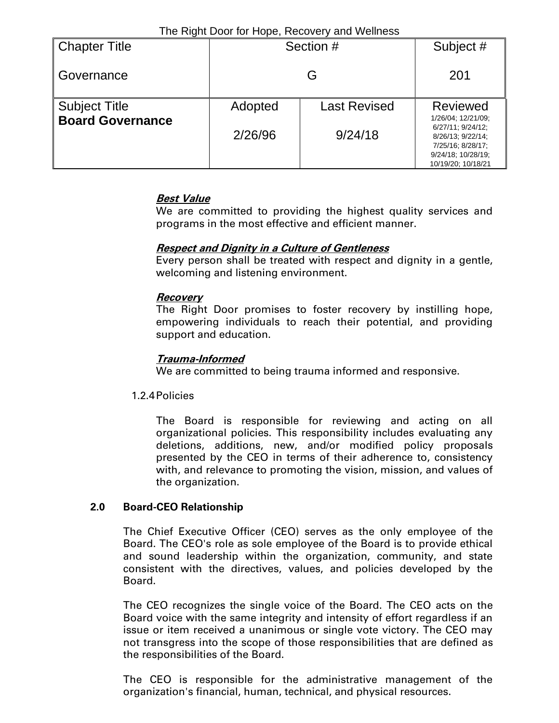| <b>Chapter Title</b>    | Section # |                     | Subject #                                                                                                                     |
|-------------------------|-----------|---------------------|-------------------------------------------------------------------------------------------------------------------------------|
| Governance              |           | 201                 |                                                                                                                               |
| <b>Subject Title</b>    | Adopted   | <b>Last Revised</b> | <b>Reviewed</b>                                                                                                               |
| <b>Board Governance</b> | 2/26/96   | 9/24/18             | 1/26/04; 12/21/09;<br>6/27/11: 9/24/12:<br>8/26/13; 9/22/14;<br>7/25/16: 8/28/17:<br>9/24/18; 10/28/19;<br>10/19/20; 10/18/21 |

### **Best Value**

We are committed to providing the highest quality services and programs in the most effective and efficient manner.

## **Respect and Dignity in a Culture of Gentleness**

Every person shall be treated with respect and dignity in a gentle, welcoming and listening environment.

### **Recovery**

The Right Door promises to foster recovery by instilling hope, empowering individuals to reach their potential, and providing support and education.

## **Trauma-Informed**

We are committed to being trauma informed and responsive.

### 1.2.4Policies

The Board is responsible for reviewing and acting on all organizational policies. This responsibility includes evaluating any deletions, additions, new, and/or modified policy proposals presented by the CEO in terms of their adherence to, consistency with, and relevance to promoting the vision, mission, and values of the organization.

### **2.0 Board-CEO Relationship**

The Chief Executive Officer (CEO) serves as the only employee of the Board. The CEO's role as sole employee of the Board is to provide ethical and sound leadership within the organization, community, and state consistent with the directives, values, and policies developed by the Board.

The CEO recognizes the single voice of the Board. The CEO acts on the Board voice with the same integrity and intensity of effort regardless if an issue or item received a unanimous or single vote victory. The CEO may not transgress into the scope of those responsibilities that are defined as the responsibilities of the Board.

The CEO is responsible for the administrative management of the organization's financial, human, technical, and physical resources.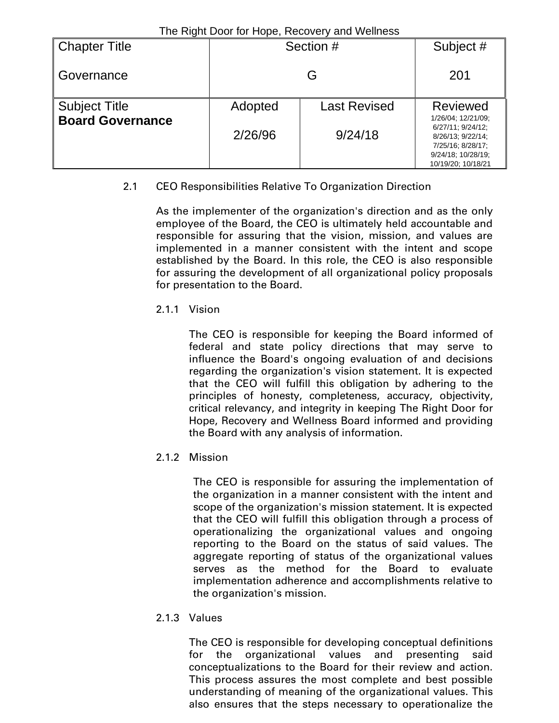| The Tught Boother Hope, Roodvory and Welliago<br>Section # |                     | Subject #                                |
|------------------------------------------------------------|---------------------|------------------------------------------|
|                                                            | 201                 |                                          |
| Adopted                                                    | <b>Last Revised</b> | <b>Reviewed</b>                          |
| 2/26/96                                                    |                     | 1/26/04; 12/21/09;<br>6/27/11: 9/24/12:  |
|                                                            |                     | 8/26/13; 9/22/14;<br>7/25/16; 8/28/17;   |
|                                                            |                     | 9/24/18; 10/28/19;<br>10/19/20; 10/18/21 |
|                                                            |                     | G<br>9/24/18                             |

# 2.1 CEO Responsibilities Relative To Organization Direction

As the implementer of the organization's direction and as the only employee of the Board, the CEO is ultimately held accountable and responsible for assuring that the vision, mission, and values are implemented in a manner consistent with the intent and scope established by the Board. In this role, the CEO is also responsible for assuring the development of all organizational policy proposals for presentation to the Board.

### 2.1.1 Vision

The CEO is responsible for keeping the Board informed of federal and state policy directions that may serve to influence the Board's ongoing evaluation of and decisions regarding the organization's vision statement. It is expected that the CEO will fulfill this obligation by adhering to the principles of honesty, completeness, accuracy, objectivity, critical relevancy, and integrity in keeping The Right Door for Hope, Recovery and Wellness Board informed and providing the Board with any analysis of information.

# 2.1.2 Mission

The CEO is responsible for assuring the implementation of the organization in a manner consistent with the intent and scope of the organization's mission statement. It is expected that the CEO will fulfill this obligation through a process of operationalizing the organizational values and ongoing reporting to the Board on the status of said values. The aggregate reporting of status of the organizational values serves as the method for the Board to evaluate implementation adherence and accomplishments relative to the organization's mission.

### 2.1.3 Values

The CEO is responsible for developing conceptual definitions for the organizational values and presenting said conceptualizations to the Board for their review and action. This process assures the most complete and best possible understanding of meaning of the organizational values. This also ensures that the steps necessary to operationalize the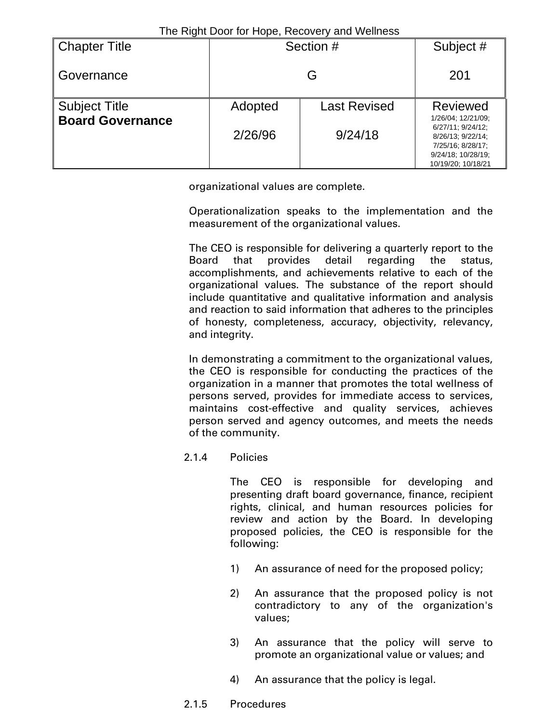| <b>Chapter Title</b>    | Section # |                     | Subject #                                                                                                                     |
|-------------------------|-----------|---------------------|-------------------------------------------------------------------------------------------------------------------------------|
| Governance              |           | 201                 |                                                                                                                               |
| <b>Subject Title</b>    | Adopted   | <b>Last Revised</b> | <b>Reviewed</b>                                                                                                               |
| <b>Board Governance</b> | 2/26/96   | 9/24/18             | 1/26/04; 12/21/09;<br>6/27/11: 9/24/12:<br>8/26/13; 9/22/14;<br>7/25/16; 8/28/17;<br>9/24/18; 10/28/19;<br>10/19/20; 10/18/21 |

organizational values are complete.

Operationalization speaks to the implementation and the measurement of the organizational values.

The CEO is responsible for delivering a quarterly report to the Board that provides detail regarding the status, accomplishments, and achievements relative to each of the organizational values. The substance of the report should include quantitative and qualitative information and analysis and reaction to said information that adheres to the principles of honesty, completeness, accuracy, objectivity, relevancy, and integrity.

In demonstrating a commitment to the organizational values, the CEO is responsible for conducting the practices of the organization in a manner that promotes the total wellness of persons served, provides for immediate access to services, maintains cost-effective and quality services, achieves person served and agency outcomes, and meets the needs of the community.

2.1.4 Policies

The CEO is responsible for developing and presenting draft board governance, finance, recipient rights, clinical, and human resources policies for review and action by the Board. In developing proposed policies, the CEO is responsible for the following:

- 1) An assurance of need for the proposed policy;
- 2) An assurance that the proposed policy is not contradictory to any of the organization's values;
- 3) An assurance that the policy will serve to promote an organizational value or values; and
- 4) An assurance that the policy is legal.
- 2.1.5 Procedures